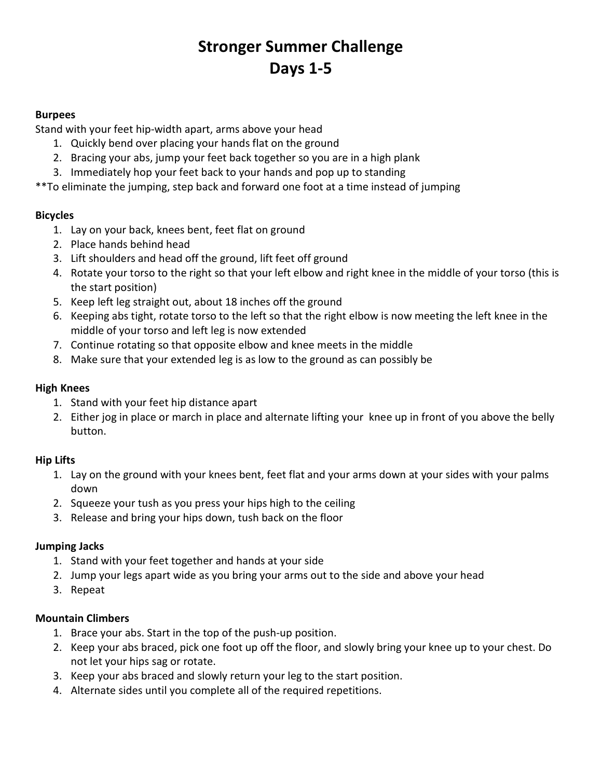# Stronger Summer Challenge Days 1-5

#### Burpees

Stand with your feet hip-width apart, arms above your head

- 1. Quickly bend over placing your hands flat on the ground
- 2. Bracing your abs, jump your feet back together so you are in a high plank
- 3. Immediately hop your feet back to your hands and pop up to standing

\*\*To eliminate the jumping, step back and forward one foot at a time instead of jumping

#### Bicycles

- 1. Lay on your back, knees bent, feet flat on ground
- 2. Place hands behind head
- 3. Lift shoulders and head off the ground, lift feet off ground
- 4. Rotate your torso to the right so that your left elbow and right knee in the middle of your torso (this is the start position)
- 5. Keep left leg straight out, about 18 inches off the ground
- 6. Keeping abs tight, rotate torso to the left so that the right elbow is now meeting the left knee in the middle of your torso and left leg is now extended
- 7. Continue rotating so that opposite elbow and knee meets in the middle
- 8. Make sure that your extended leg is as low to the ground as can possibly be

#### High Knees

- 1. Stand with your feet hip distance apart
- 2. Either jog in place or march in place and alternate lifting your knee up in front of you above the belly button.

## Hip Lifts

- 1. Lay on the ground with your knees bent, feet flat and your arms down at your sides with your palms down
- 2. Squeeze your tush as you press your hips high to the ceiling
- 3. Release and bring your hips down, tush back on the floor

## Jumping Jacks

- 1. Stand with your feet together and hands at your side
- 2. Jump your legs apart wide as you bring your arms out to the side and above your head
- 3. Repeat

#### Mountain Climbers

- 1. Brace your abs. Start in the top of the push-up position.
- 2. Keep your abs braced, pick one foot up off the floor, and slowly bring your knee up to your chest. Do not let your hips sag or rotate.
- 3. Keep your abs braced and slowly return your leg to the start position.
- 4. Alternate sides until you complete all of the required repetitions.